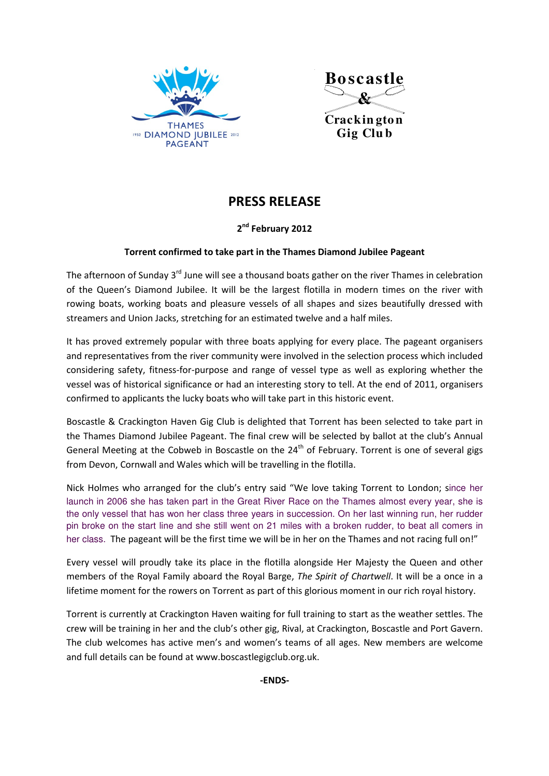



**Crackin gton Gig Clu b**

## PRESS RELEASE

## 2<sup>nd</sup> February 2012

## Torrent confirmed to take part in the Thames Diamond Jubilee Pageant

The afternoon of Sunday  $3^{rd}$  June will see a thousand boats gather on the river Thames in celebration of the Queen's Diamond Jubilee. It will be the largest flotilla in modern times on the river with rowing boats, working boats and pleasure vessels of all shapes and sizes beautifully dressed with streamers and Union Jacks, stretching for an estimated twelve and a half miles.

It has proved extremely popular with three boats applying for every place. The pageant organisers and representatives from the river community were involved in the selection process which included considering safety, fitness-for-purpose and range of vessel type as well as exploring whether the vessel was of historical significance or had an interesting story to tell. At the end of 2011, organisers confirmed to applicants the lucky boats who will take part in this historic event.

Boscastle & Crackington Haven Gig Club is delighted that Torrent has been selected to take part in the Thames Diamond Jubilee Pageant. The final crew will be selected by ballot at the club's Annual General Meeting at the Cobweb in Boscastle on the 24<sup>th</sup> of February. Torrent is one of several gigs from Devon, Cornwall and Wales which will be travelling in the flotilla.

Nick Holmes who arranged for the club's entry said "We love taking Torrent to London; since her launch in 2006 she has taken part in the Great River Race on the Thames almost every year, she is the only vessel that has won her class three years in succession. On her last winning run, her rudder pin broke on the start line and she still went on 21 miles with a broken rudder, to beat all comers in her class. The pageant will be the first time we will be in her on the Thames and not racing full on!"

Every vessel will proudly take its place in the flotilla alongside Her Majesty the Queen and other members of the Royal Family aboard the Royal Barge, The Spirit of Chartwell. It will be a once in a lifetime moment for the rowers on Torrent as part of this glorious moment in our rich royal history.

Torrent is currently at Crackington Haven waiting for full training to start as the weather settles. The crew will be training in her and the club's other gig, Rival, at Crackington, Boscastle and Port Gavern. The club welcomes has active men's and women's teams of all ages. New members are welcome and full details can be found at www.boscastlegigclub.org.uk.

-ENDS-